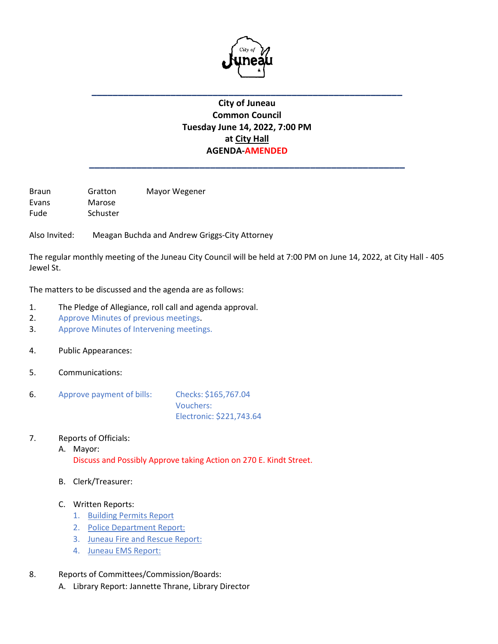

## **City of Juneau Common Council Tuesday June 14, 2022, 7:00 PM at City Hall AGENDA-AMENDED**

**\_\_\_\_\_\_\_\_\_\_\_\_\_\_\_\_\_\_\_\_\_\_\_\_\_\_\_\_\_\_\_\_\_\_\_\_\_\_\_\_\_\_\_\_\_\_\_\_\_\_\_\_\_\_\_\_\_\_\_\_**

**\_\_\_\_\_\_\_\_\_\_\_\_\_\_\_\_\_\_\_\_\_\_\_\_\_\_\_\_\_\_\_\_\_\_\_\_\_\_\_\_\_\_\_\_\_\_\_\_\_\_\_\_\_\_\_\_\_\_\_**

Braun Gratton Mayor Wegener Evans Marose Fude Schuster

Also Invited: Meagan Buchda and Andrew Griggs-City Attorney

The regular monthly meeting of the Juneau City Council will be held at 7:00 PM on June 14, 2022, at City Hall - 405 Jewel St.

The matters to be discussed and the agenda are as follows:

- 1. The Pledge of Allegiance, roll call and agenda approval.
- 2. Approve Minutes of previous meetings.
- 3. Approve Minutes of Intervening meetings.
- 4. Public Appearances:
- 5. Communications:
- 6. Approve payment of bills: Checks: \$165,767.04 Vouchers: Electronic: \$221,743.64
- 7. Reports of Officials:
	- A. Mayor: Discuss and Possibly Approve taking Action on 270 E. Kindt Street.
	- B. Clerk/Treasurer:
	- C. Written Reports:
		- 1. Building Permits Report
		- 2. Police Department Report:
		- 3. Juneau Fire and Rescue Report:
		- 4. Juneau EMS Report:
- 8. Reports of Committees/Commission/Boards:
	- A. Library Report: Jannette Thrane, Library Director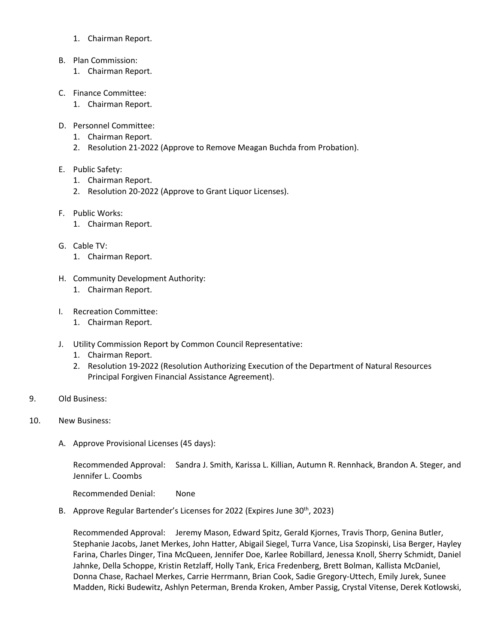- 1. Chairman Report.
- B. Plan Commission:
	- 1. Chairman Report.
- C. Finance Committee:
	- 1. Chairman Report.
- D. Personnel Committee:
	- 1. Chairman Report.
	- 2. Resolution 21-2022 (Approve to Remove Meagan Buchda from Probation).
- E. Public Safety:
	- 1. Chairman Report.
	- 2. Resolution 20-2022 (Approve to Grant Liquor Licenses).
- F. Public Works:
	- 1. Chairman Report.
- G. Cable TV:
	- 1. Chairman Report.
- H. Community Development Authority:
	- 1. Chairman Report.
- I. Recreation Committee:
	- 1. Chairman Report.
- J. Utility Commission Report by Common Council Representative:
	- 1. Chairman Report.
	- 2. Resolution 19-2022 (Resolution Authorizing Execution of the Department of Natural Resources Principal Forgiven Financial Assistance Agreement).
- 9. Old Business:
- 10. New Business:
	- A. Approve Provisional Licenses (45 days):

Recommended Approval: Sandra J. Smith, Karissa L. Killian, Autumn R. Rennhack, Brandon A. Steger, and Jennifer L. Coombs

Recommended Denial: None

B. Approve Regular Bartender's Licenses for 2022 (Expires June 30<sup>th</sup>, 2023)

Recommended Approval: Jeremy Mason, Edward Spitz, Gerald Kjornes, Travis Thorp, Genina Butler, Stephanie Jacobs, Janet Merkes, John Hatter, Abigail Siegel, Turra Vance, Lisa Szopinski, Lisa Berger, Hayley Farina, Charles Dinger, Tina McQueen, Jennifer Doe, Karlee Robillard, Jenessa Knoll, Sherry Schmidt, Daniel Jahnke, Della Schoppe, Kristin Retzlaff, Holly Tank, Erica Fredenberg, Brett Bolman, Kallista McDaniel, Donna Chase, Rachael Merkes, Carrie Herrmann, Brian Cook, Sadie Gregory-Uttech, Emily Jurek, Sunee Madden, Ricki Budewitz, Ashlyn Peterman, Brenda Kroken, Amber Passig, Crystal Vitense, Derek Kotlowski,